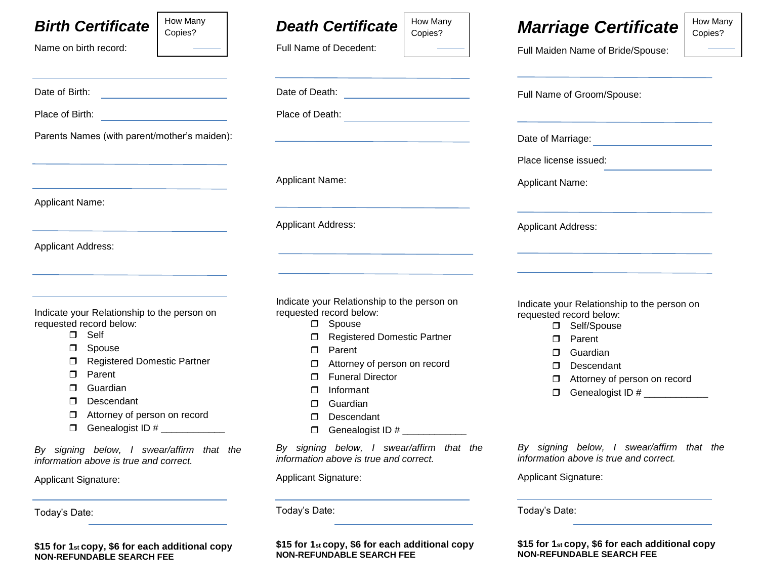## *Birth Certificate*

Date of Birth: **Date of Birth:** 

Place of Birth:  $\blacksquare$ 

Parents Names (with parent/mother's maiden):

Name on birth record:

Applicant Name:

Applicant Address:

 $\overline{C}$ 

| How Many |  |
|----------|--|
| Copies?  |  |
|          |  |

*Death Certificate* 

Date of Death:  $\blacksquare$ 

Full Name of Decedent:

How Many Copies?

# *Marriage Certificate*

Full Maiden Name of Bride/Spouse:

Full Name of Groom/Spouse:

How Many Copies?

| Place of Death:                                                                                                                                                                                                                                                   |                                             |                            |                                                                                                                                                                                           |  |  |  |
|-------------------------------------------------------------------------------------------------------------------------------------------------------------------------------------------------------------------------------------------------------------------|---------------------------------------------|----------------------------|-------------------------------------------------------------------------------------------------------------------------------------------------------------------------------------------|--|--|--|
|                                                                                                                                                                                                                                                                   |                                             | Date of Marriage:          |                                                                                                                                                                                           |  |  |  |
|                                                                                                                                                                                                                                                                   |                                             | Place license issued:      |                                                                                                                                                                                           |  |  |  |
| <b>Applicant Name:</b>                                                                                                                                                                                                                                            |                                             |                            | <b>Applicant Name:</b>                                                                                                                                                                    |  |  |  |
| <b>Applicant Address:</b>                                                                                                                                                                                                                                         |                                             | <b>Applicant Address:</b>  |                                                                                                                                                                                           |  |  |  |
|                                                                                                                                                                                                                                                                   |                                             |                            |                                                                                                                                                                                           |  |  |  |
| Indicate your Relationship to the person on<br>requested record below:<br>Spouse<br>0<br><b>Registered Domestic Partner</b><br>□<br>Parent<br>$\Box$<br>Attorney of person on record<br>□<br><b>Funeral Director</b><br>П<br>Informant<br>п<br>Guardian<br>$\Box$ |                                             | ⊓<br>⊓<br>⊓<br>п<br>$\Box$ | Indicate your Relationship to the person on<br>requested record below:<br>Self/Spouse<br>Parent<br>Guardian<br>Descendant<br>Attorney of person on record<br>Genealogist ID # ___________ |  |  |  |
| П<br>□                                                                                                                                                                                                                                                            | Descendant<br>Genealogist ID # ____________ |                            |                                                                                                                                                                                           |  |  |  |

*By signing below, I swear/affirm that the information above is true and correct.* 

Applicant Signature:

Today's Date:

**\$15 for 1st copy, \$6 for each additional copy NON-REFUNDABLE SEARCH FEE** 

*By signing below, I swear/affirm that the information above is true and correct.* 

Applicant Signature:

Today's Date:

**\$15 for 1st copy, \$6 for each additional copy NON-REFUNDABLE SEARCH FEE** 

Indicate your Relationship to the person on requested record below:

**D** Spouse

Registered Domestic Partner

D Parent

**D** Guardian

Descendant

□ Attorney of person on record

 $\Box$  Genealogist ID #

*By signing below, I swear/affirm that the information above is true and correct.* 

Applicant Signature:

Today's Date:

**\$15 for 1st copy, \$6 for each additional copy NON-REFUNDABLE SEARCH FEE** 

Self